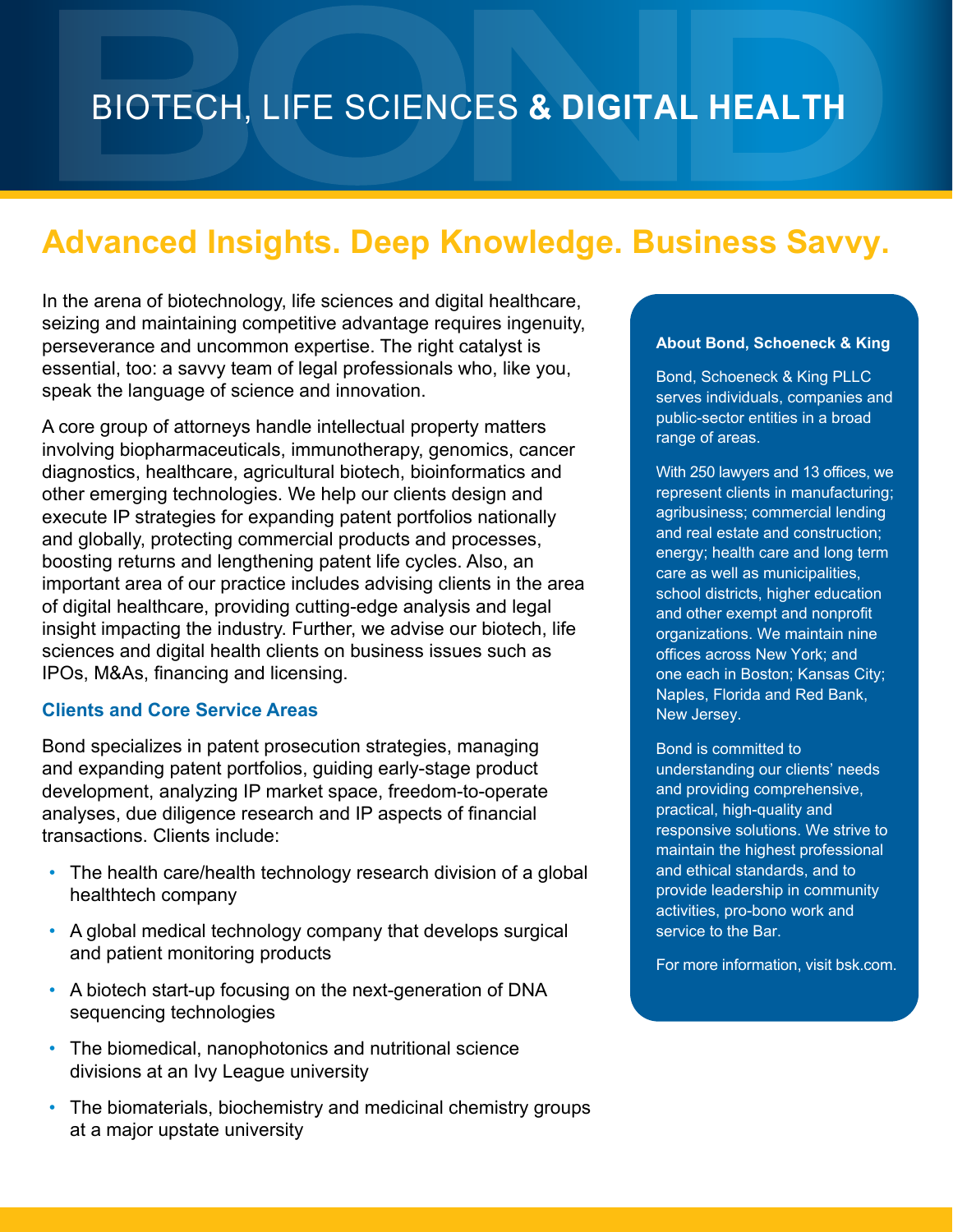# **Advanced Insights. Deep Knowledge. Business Savvy.**

In the arena of biotechnology, life sciences and digital healthcare, seizing and maintaining competitive advantage requires ingenuity, perseverance and uncommon expertise. The right catalyst is essential, too: a savvy team of legal professionals who, like you, speak the language of science and innovation.

A core group of attorneys handle intellectual property matters involving biopharmaceuticals, immunotherapy, genomics, cancer diagnostics, healthcare, agricultural biotech, bioinformatics and other emerging technologies. We help our clients design and execute IP strategies for expanding patent portfolios nationally and globally, protecting commercial products and processes, boosting returns and lengthening patent life cycles. Also, an important area of our practice includes advising clients in the area of digital healthcare, providing cutting-edge analysis and legal insight impacting the industry. Further, we advise our biotech, life sciences and digital health clients on business issues such as IPOs, M&As, financing and licensing.

#### **Clients and Core Service Areas**

Bond specializes in patent prosecution strategies, managing and expanding patent portfolios, guiding early-stage product development, analyzing IP market space, freedom-to-operate analyses, due diligence research and IP aspects of financial transactions. Clients include:

- The health care/health technology research division of a global healthtech company
- A global medical technology company that develops surgical and patient monitoring products
- A biotech start-up focusing on the next-generation of DNA sequencing technologies
- The biomedical, nanophotonics and nutritional science divisions at an Ivy League university
- The biomaterials, biochemistry and medicinal chemistry groups at a major upstate university

#### **About Bond, Schoeneck & King**

Bond, Schoeneck & King PLLC serves individuals, companies and public-sector entities in a broad range of areas.

With 250 lawyers and 13 offices, we represent clients in manufacturing; agribusiness; commercial lending and real estate and construction; energy; health care and long term care as well as municipalities, school districts, higher education and other exempt and nonprofit organizations. We maintain nine offices across New York; and one each in Boston; Kansas City; Naples, Florida and Red Bank, New Jersey.

Bond is committed to understanding our clients' needs and providing comprehensive, practical, high-quality and responsive solutions. We strive to maintain the highest professional and ethical standards, and to provide leadership in community activities, pro-bono work and service to the Bar.

For more information, visit bsk.com.